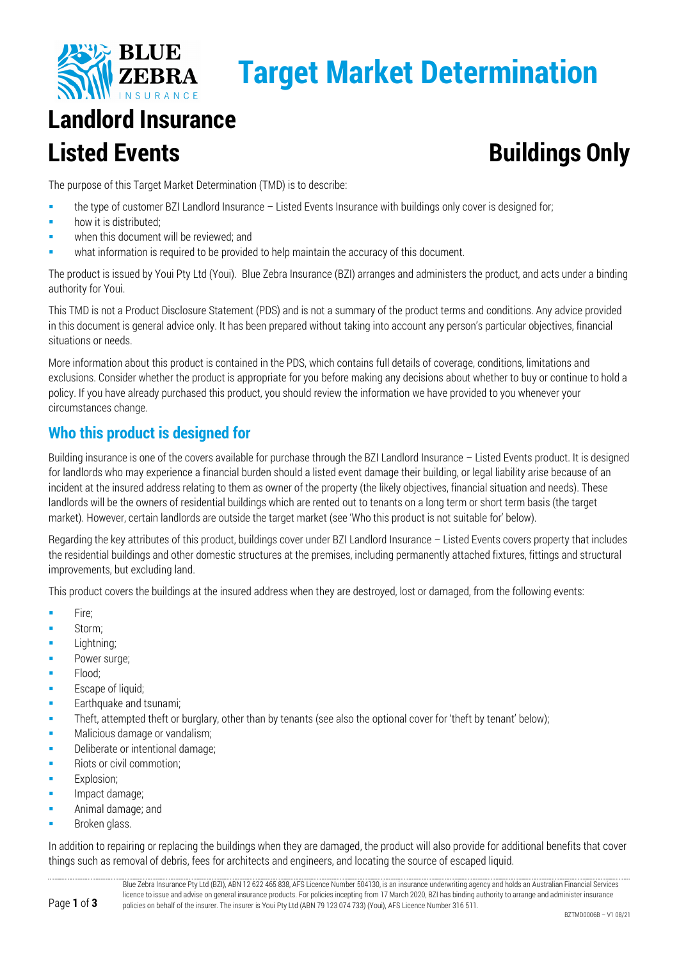

# **Target Market Determination**

## **Landlord Insurance Listed Events Buildings Only**

The purpose of this Target Market Determination (TMD) is to describe:

- the type of customer BZI Landlord Insurance Listed Events Insurance with buildings only cover is designed for;
- how it is distributed;
- when this document will be reviewed; and
- what information is required to be provided to help maintain the accuracy of this document.

The product is issued by Youi Pty Ltd (Youi). Blue Zebra Insurance (BZI) arranges and administers the product, and acts under a binding authority for Youi.

This TMD is not a Product Disclosure Statement (PDS) and is not a summary of the product terms and conditions. Any advice provided in this document is general advice only. It has been prepared without taking into account any person's particular objectives, financial situations or needs.

More information about this product is contained in the PDS, which contains full details of coverage, conditions, limitations and exclusions. Consider whether the product is appropriate for you before making any decisions about whether to buy or continue to hold a policy. If you have already purchased this product, you should review the information we have provided to you whenever your circumstances change.

### **Who this product is designed for**

Building insurance is one of the covers available for purchase through the BZI Landlord Insurance – Listed Events product. It is designed for landlords who may experience a financial burden should a listed event damage their building, or legal liability arise because of an incident at the insured address relating to them as owner of the property (the likely objectives, financial situation and needs). These landlords will be the owners of residential buildings which are rented out to tenants on a long term or short term basis (the target market). However, certain landlords are outside the target market (see 'Who this product is not suitable for' below).

Regarding the key attributes of this product, buildings cover under BZI Landlord Insurance – Listed Events covers property that includes the residential buildings and other domestic structures at the premises, including permanently attached fixtures, fittings and structural improvements, but excluding land.

This product covers the buildings at the insured address when they are destroyed, lost or damaged, from the following events:

- $F$  Fire:
- Storm;
- Lightning;
- **Power surge;**
- Flood;
- Escape of liquid;
- Earthquake and tsunami;
- Theft, attempted theft or burglary, other than by tenants (see also the optional cover for 'theft by tenant' below);
- Malicious damage or vandalism;
- Deliberate or intentional damage;
- Riots or civil commotion:
- Explosion;
- Impact damage;
- **Animal damage; and**
- Broken glass.

In addition to repairing or replacing the buildings when they are damaged, the product will also provide for additional benefits that cover things such as removal of debris, fees for architects and engineers, and locating the source of escaped liquid.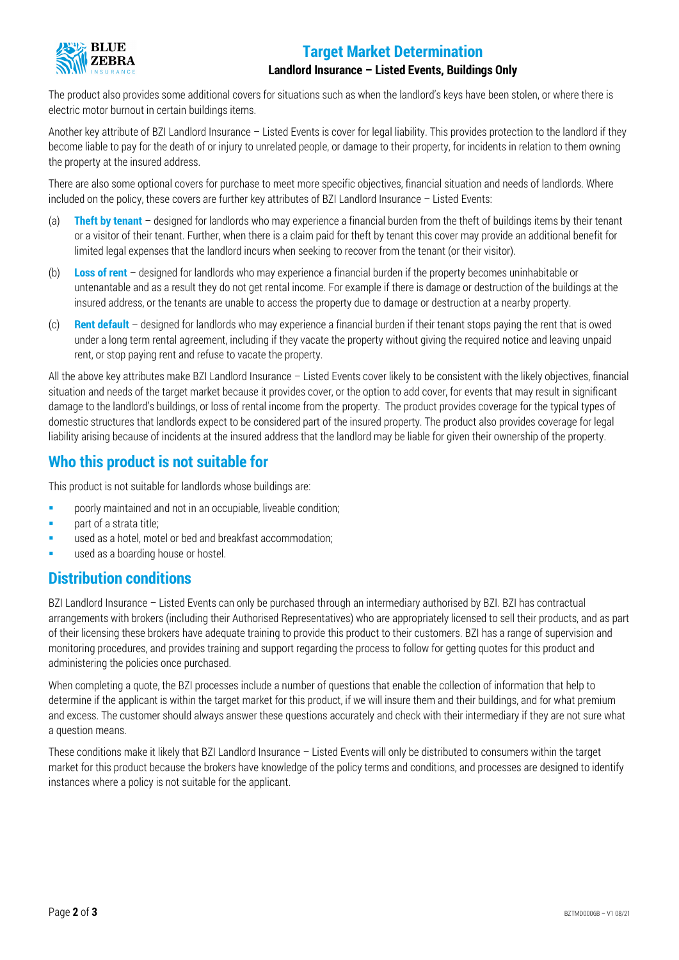

#### **Target Market Determination**

#### **Landlord Insurance – Listed Events, Buildings Only**

The product also provides some additional covers for situations such as when the landlord's keys have been stolen, or where there is electric motor burnout in certain buildings items.

Another key attribute of BZI Landlord Insurance – Listed Events is cover for legal liability. This provides protection to the landlord if they become liable to pay for the death of or injury to unrelated people, or damage to their property, for incidents in relation to them owning the property at the insured address.

There are also some optional covers for purchase to meet more specific objectives, financial situation and needs of landlords. Where included on the policy, these covers are further key attributes of BZI Landlord Insurance – Listed Events:

- (a) **Theft by tenant** designed for landlords who may experience a financial burden from the theft of buildings items by their tenant or a visitor of their tenant. Further, when there is a claim paid for theft by tenant this cover may provide an additional benefit for limited legal expenses that the landlord incurs when seeking to recover from the tenant (or their visitor).
- (b) **Loss of rent** designed for landlords who may experience a financial burden if the property becomes uninhabitable or untenantable and as a result they do not get rental income. For example if there is damage or destruction of the buildings at the insured address, or the tenants are unable to access the property due to damage or destruction at a nearby property.
- (c) **Rent default** designed for landlords who may experience a financial burden if their tenant stops paying the rent that is owed under a long term rental agreement, including if they vacate the property without giving the required notice and leaving unpaid rent, or stop paying rent and refuse to vacate the property.

All the above key attributes make BZI Landlord Insurance – Listed Events cover likely to be consistent with the likely objectives, financial situation and needs of the target market because it provides cover, or the option to add cover, for events that may result in significant damage to the landlord's buildings, or loss of rental income from the property. The product provides coverage for the typical types of domestic structures that landlords expect to be considered part of the insured property. The product also provides coverage for legal liability arising because of incidents at the insured address that the landlord may be liable for given their ownership of the property.

#### **Who this product is not suitable for**

This product is not suitable for landlords whose buildings are:

- **Phonorly maintained and not in an occupiable, liveable condition:**
- **part of a strata title;**
- used as a hotel, motel or bed and breakfast accommodation;
- used as a boarding house or hostel.

#### **Distribution conditions**

BZI Landlord Insurance – Listed Events can only be purchased through an intermediary authorised by BZI. BZI has contractual arrangements with brokers (including their Authorised Representatives) who are appropriately licensed to sell their products, and as part of their licensing these brokers have adequate training to provide this product to their customers. BZI has a range of supervision and monitoring procedures, and provides training and support regarding the process to follow for getting quotes for this product and administering the policies once purchased.

When completing a quote, the BZI processes include a number of questions that enable the collection of information that help to determine if the applicant is within the target market for this product, if we will insure them and their buildings, and for what premium and excess. The customer should always answer these questions accurately and check with their intermediary if they are not sure what a question means.

These conditions make it likely that BZI Landlord Insurance – Listed Events will only be distributed to consumers within the target market for this product because the brokers have knowledge of the policy terms and conditions, and processes are designed to identify instances where a policy is not suitable for the applicant.